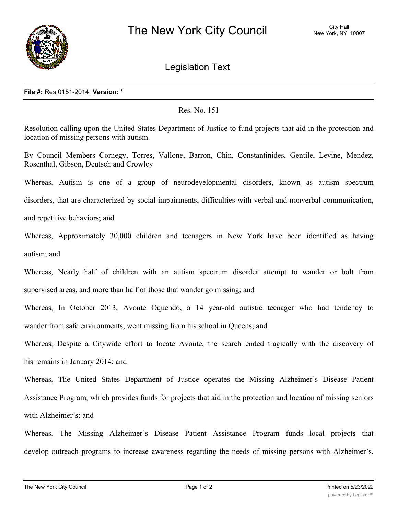

Legislation Text

## **File #:** Res 0151-2014, **Version:** \*

## Res. No. 151

Resolution calling upon the United States Department of Justice to fund projects that aid in the protection and location of missing persons with autism.

By Council Members Cornegy, Torres, Vallone, Barron, Chin, Constantinides, Gentile, Levine, Mendez, Rosenthal, Gibson, Deutsch and Crowley

Whereas, Autism is one of a group of neurodevelopmental disorders, known as autism spectrum disorders, that are characterized by social impairments, difficulties with verbal and nonverbal communication, and repetitive behaviors; and

Whereas, Approximately 30,000 children and teenagers in New York have been identified as having autism; and

Whereas, Nearly half of children with an autism spectrum disorder attempt to wander or bolt from supervised areas, and more than half of those that wander go missing; and

Whereas, In October 2013, Avonte Oquendo, a 14 year-old autistic teenager who had tendency to wander from safe environments, went missing from his school in Queens; and

Whereas, Despite a Citywide effort to locate Avonte, the search ended tragically with the discovery of his remains in January 2014; and

Whereas, The United States Department of Justice operates the Missing Alzheimer's Disease Patient Assistance Program, which provides funds for projects that aid in the protection and location of missing seniors with Alzheimer's; and

Whereas, The Missing Alzheimer's Disease Patient Assistance Program funds local projects that develop outreach programs to increase awareness regarding the needs of missing persons with Alzheimer's,